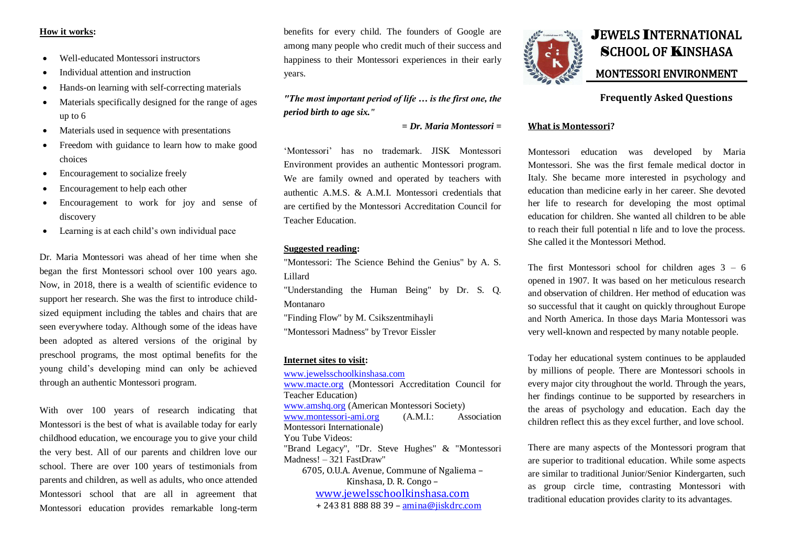## **How it works:**

- Well-educated Montessori instructors
- Individual attention and instruction
- Hands-on learning with self-correcting materials
- Materials specifically designed for the range of ages up to 6
- Materials used in sequence with presentations
- Freedom with guidance to learn how to make good choices
- Encouragement to socialize freely
- Encouragement to help each other
- Encouragement to work for joy and sense of discovery
- Learning is at each child's own individual pace

Dr. Maria Montessori was ahead of her time when she began the first Montessori school over 100 years ago. Now, in 2018, there is a wealth of scientific evidence to support her research. She was the first to introduce childsized equipment including the tables and chairs that are seen everywhere today. Although some of the ideas have been adopted as altered versions of the original by preschool programs, the most optimal benefits for the young child's developing mind can only be achieved through an authentic Montessori program.

With over 100 years of research indicating that Montessori is the best of what is available today for early childhood education, we encourage you to give your child the very best. All of our parents and children love our school. There are over 100 years of testimonials from parents and children, as well as adults, who once attended Montessori school that are all in agreement that Montessori education provides remarkable long-term

benefits for every child. The founders of Google are among many people who credit much of their success and happiness to their Montessori experiences in their early years.

## *"The most important period of life … is the first one, the period birth to age six."*

*= Dr. Maria Montessori =*

'Montessori' has no trademark. JISK Montessori Environment provides an authentic Montessori program. We are family owned and operated by teachers with authentic A.M.S. & A.M.I. Montessori credentials that are certified by the Montessori Accreditation Council for Teacher Education.

## **Suggested reading:**

"Montessori: The Science Behind the Genius" by A. S. Lillard

"Understanding the Human Being" by Dr. S. Q. Montanaro

"Finding Flow" by M. Csikszentmihayli

"Montessori Madness" by Trevor Eissler

## **Internet sites to visit:**

[www.jewelsschoolkinshasa.com](http://www.jewelsschoolkinshasa.com/) [www.macte.org](http://www.macte.org/) (Montessori Accreditation Council for Teacher Education) [www.amshq.org](http://www.amshq.org/) (American Montessori Society) [www.montessori-ami.org](http://www.montessori-ami.org/) (A.M.I.: Association Montessori Internationale) You Tube Videos: "Brand Legacy", "Dr. Steve Hughes" & "Montessori Madness! – 321 FastDraw" 6705, O.U.A. Avenue, Commune of Ngaliema – Kinshasa, D. R. Congo – [www.jewelsschoolkinshasa.com](http://www.jewelsschoolkinshasa.com/) + 243 81 888 88 39 – [amina@jiskdrc.com](mailto:amina@jiskdrc.com)



# JEWELS INTERNATIONAL SCHOOL OF KINSHASA MONTESSORI ENVIRONMENT

## **Frequently Asked Questions**

#### **What is Montessori?**

Montessori education was developed by Maria Montessori. She was the first female medical doctor in Italy. She became more interested in psychology and education than medicine early in her career. She devoted her life to research for developing the most optimal education for children. She wanted all children to be able to reach their full potential n life and to love the process. She called it the Montessori Method.

The first Montessori school for children ages  $3 - 6$ opened in 1907. It was based on her meticulous research and observation of children. Her method of education was so successful that it caught on quickly throughout Europe and North America. In those days Maria Montessori was very well-known and respected by many notable people.

Today her educational system continues to be applauded by millions of people. There are Montessori schools in every major city throughout the world. Through the years, her findings continue to be supported by researchers in the areas of psychology and education. Each day the children reflect this as they excel further, and love school.

There are many aspects of the Montessori program that are superior to traditional education. While some aspects are similar to traditional Junior/Senior Kindergarten, such as group circle time, contrasting Montessori with traditional education provides clarity to its advantages.